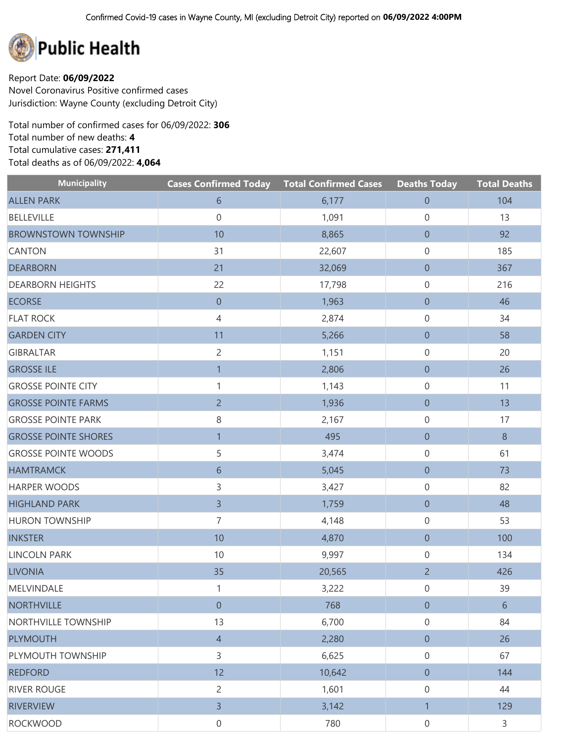

Report Date: **06/09/2022** Novel Coronavirus Positive confirmed cases Jurisdiction: Wayne County (excluding Detroit City)

Total number of confirmed cases for 06/09/2022: **306** Total number of new deaths: **4** Total cumulative cases: **271,411** Total deaths as of 06/09/2022: **4,064**

| <b>Municipality</b>         | <b>Cases Confirmed Today Total Confirmed Cases</b> |        | <b>Deaths Today</b> | <b>Total Deaths</b> |
|-----------------------------|----------------------------------------------------|--------|---------------------|---------------------|
| <b>ALLEN PARK</b>           | 6                                                  | 6,177  | $\boldsymbol{0}$    | 104                 |
| <b>BELLEVILLE</b>           | $\mathbf 0$                                        | 1,091  | 0                   | 13                  |
| <b>BROWNSTOWN TOWNSHIP</b>  | 10                                                 | 8,865  | $\boldsymbol{0}$    | 92                  |
| <b>CANTON</b>               | 31                                                 | 22,607 | 0                   | 185                 |
| <b>DEARBORN</b>             | 21                                                 | 32,069 | $\boldsymbol{0}$    | 367                 |
| <b>DEARBORN HEIGHTS</b>     | 22                                                 | 17,798 | 0                   | 216                 |
| <b>ECORSE</b>               | $\boldsymbol{0}$                                   | 1,963  | $\boldsymbol{0}$    | 46                  |
| <b>FLAT ROCK</b>            | $\overline{4}$                                     | 2,874  | 0                   | 34                  |
| <b>GARDEN CITY</b>          | 11                                                 | 5,266  | $\boldsymbol{0}$    | 58                  |
| <b>GIBRALTAR</b>            | $\overline{2}$                                     | 1,151  | 0                   | 20                  |
| <b>GROSSE ILE</b>           | $\mathbf{1}$                                       | 2,806  | $\boldsymbol{0}$    | 26                  |
| <b>GROSSE POINTE CITY</b>   | $\mathbf{1}$                                       | 1,143  | 0                   | 11                  |
| <b>GROSSE POINTE FARMS</b>  | $\overline{2}$                                     | 1,936  | $\boldsymbol{0}$    | 13                  |
| <b>GROSSE POINTE PARK</b>   | 8                                                  | 2,167  | 0                   | 17                  |
| <b>GROSSE POINTE SHORES</b> | $\overline{1}$                                     | 495    | $\boldsymbol{0}$    | $8\phantom{1}$      |
| <b>GROSSE POINTE WOODS</b>  | 5                                                  | 3,474  | 0                   | 61                  |
| <b>HAMTRAMCK</b>            | $6\,$                                              | 5,045  | $\boldsymbol{0}$    | 73                  |
| <b>HARPER WOODS</b>         | 3                                                  | 3,427  | 0                   | 82                  |
| <b>HIGHLAND PARK</b>        | $\overline{3}$                                     | 1,759  | $\boldsymbol{0}$    | 48                  |
| <b>HURON TOWNSHIP</b>       | $\overline{7}$                                     | 4,148  | 0                   | 53                  |
| <b>INKSTER</b>              | 10                                                 | 4,870  | $\boldsymbol{0}$    | 100                 |
| <b>LINCOLN PARK</b>         | 10                                                 | 9,997  | 0                   | 134                 |
| <b>LIVONIA</b>              | 35                                                 | 20,565 | $\overline{2}$      | 426                 |
| MELVINDALE                  | 1                                                  | 3,222  | 0                   | 39                  |
| <b>NORTHVILLE</b>           | $\boldsymbol{0}$                                   | 768    | $\theta$            | $6\phantom{.}6$     |
| NORTHVILLE TOWNSHIP         | 13                                                 | 6,700  | 0                   | 84                  |
| <b>PLYMOUTH</b>             | $\overline{4}$                                     | 2,280  | $\boldsymbol{0}$    | 26                  |
| PLYMOUTH TOWNSHIP           | 3                                                  | 6,625  | 0                   | 67                  |
| <b>REDFORD</b>              | 12                                                 | 10,642 | $\boldsymbol{0}$    | 144                 |
| <b>RIVER ROUGE</b>          | $\overline{2}$                                     | 1,601  | 0                   | 44                  |
| <b>RIVERVIEW</b>            | $\overline{3}$                                     | 3,142  | $\mathbf{1}$        | 129                 |
| <b>ROCKWOOD</b>             | 0                                                  | 780    | 0                   | 3                   |